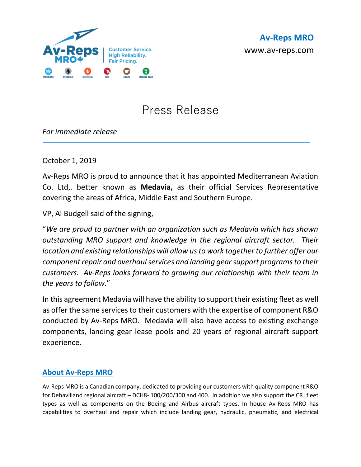

## Press Release

*For immediate release*

October 1, 2019

Av-Reps MRO is proud to announce that it has appointed Mediterranean Aviation Co. Ltd,. better known as **Medavia,** as their official Services Representative covering the areas of Africa, Middle East and Southern Europe.

VP, Al Budgell said of the signing,

"*We are proud to partner with an organization such as Medavia which has shown outstanding MRO support and knowledge in the regional aircraft sector. Their location and existing relationships will allow us to work together to further offer our component repair and overhaul services and landing gear support programs to their customers. Av-Reps looks forward to growing our relationship with their team in the years to follow*."

In this agreement Medavia will have the ability to support their existing fleet as well as offer the same services to their customers with the expertise of component R&O conducted by Av-Reps MRO. Medavia will also have access to existing exchange components, landing gear lease pools and 20 years of regional aircraft support experience.

## **About Av-Reps MRO**

Av-Reps MRO is a Canadian company, dedicated to providing our customers with quality component R&O for Dehavilland regional aircraft – DCH8- 100/200/300 and 400. In addition we also support the CRJ fleet types as well as components on the Boeing and Airbus aircraft types. In house Av-Reps MRO has capabilities to overhaul and repair which include landing gear, hydraulic, pneumatic, and electrical